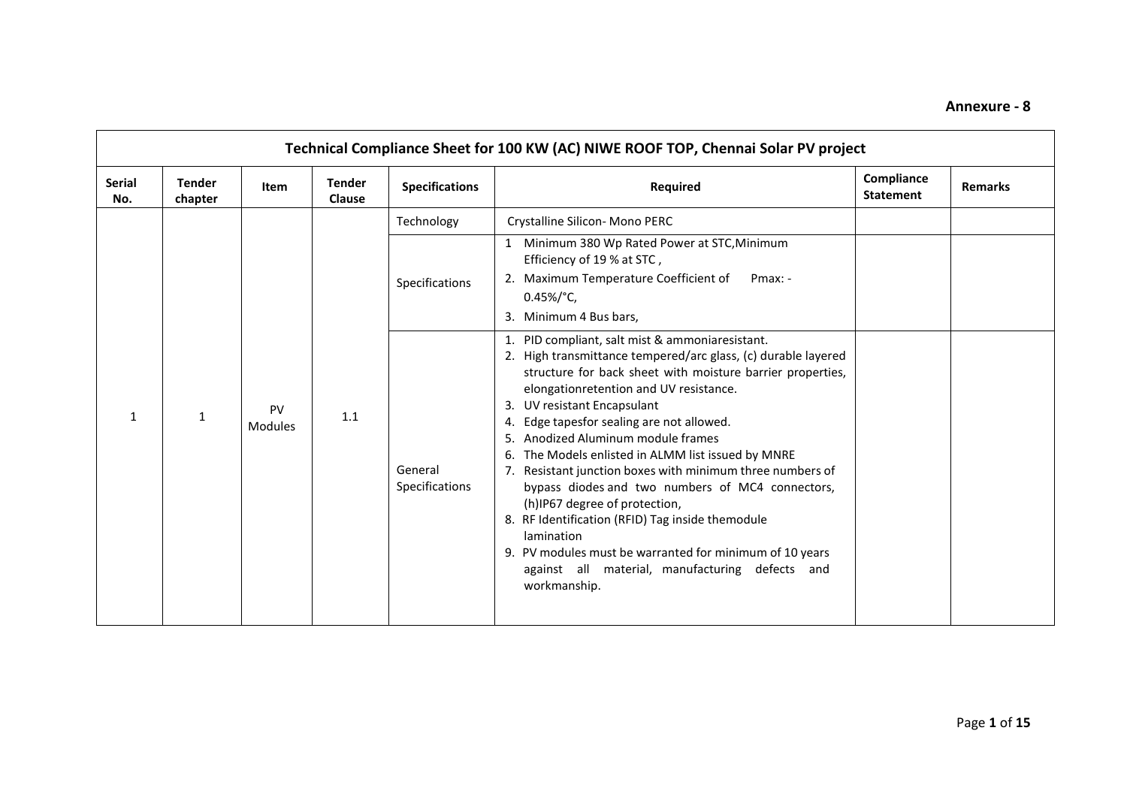| <b>Serial</b><br>No. | <b>Tender</b><br>chapter | Item          | <b>Tender</b><br><b>Clause</b> | <b>Specifications</b>     | Required                                                                                                                                                                                                                                                                                                                                                                                                                                                                                                                                                                                                                                                                                                                                                          | Compliance<br><b>Statement</b> | <b>Remarks</b> |
|----------------------|--------------------------|---------------|--------------------------------|---------------------------|-------------------------------------------------------------------------------------------------------------------------------------------------------------------------------------------------------------------------------------------------------------------------------------------------------------------------------------------------------------------------------------------------------------------------------------------------------------------------------------------------------------------------------------------------------------------------------------------------------------------------------------------------------------------------------------------------------------------------------------------------------------------|--------------------------------|----------------|
|                      |                          |               |                                | Technology                | Crystalline Silicon- Mono PERC                                                                                                                                                                                                                                                                                                                                                                                                                                                                                                                                                                                                                                                                                                                                    |                                |                |
|                      |                          |               |                                | Specifications            | 1 Minimum 380 Wp Rated Power at STC, Minimum<br>Efficiency of 19 % at STC,<br>2. Maximum Temperature Coefficient of<br>Pmax: -<br>$0.45\%/^{\circ}C$ ,<br>3. Minimum 4 Bus bars,                                                                                                                                                                                                                                                                                                                                                                                                                                                                                                                                                                                  |                                |                |
| $\mathbf{1}$         | $\mathbf{1}$             | PV<br>Modules | 1.1                            | General<br>Specifications | 1. PID compliant, salt mist & ammoniaresistant.<br>2. High transmittance tempered/arc glass, (c) durable layered<br>structure for back sheet with moisture barrier properties,<br>elongationretention and UV resistance.<br>UV resistant Encapsulant<br>3.<br>Edge tapesfor sealing are not allowed.<br>4.<br>Anodized Aluminum module frames<br>5.<br>The Models enlisted in ALMM list issued by MNRE<br>6.<br>Resistant junction boxes with minimum three numbers of<br>7.<br>bypass diodes and two numbers of MC4 connectors,<br>(h)IP67 degree of protection,<br>8. RF Identification (RFID) Tag inside themodule<br>lamination<br>9. PV modules must be warranted for minimum of 10 years<br>against all material, manufacturing defects and<br>workmanship. |                                |                |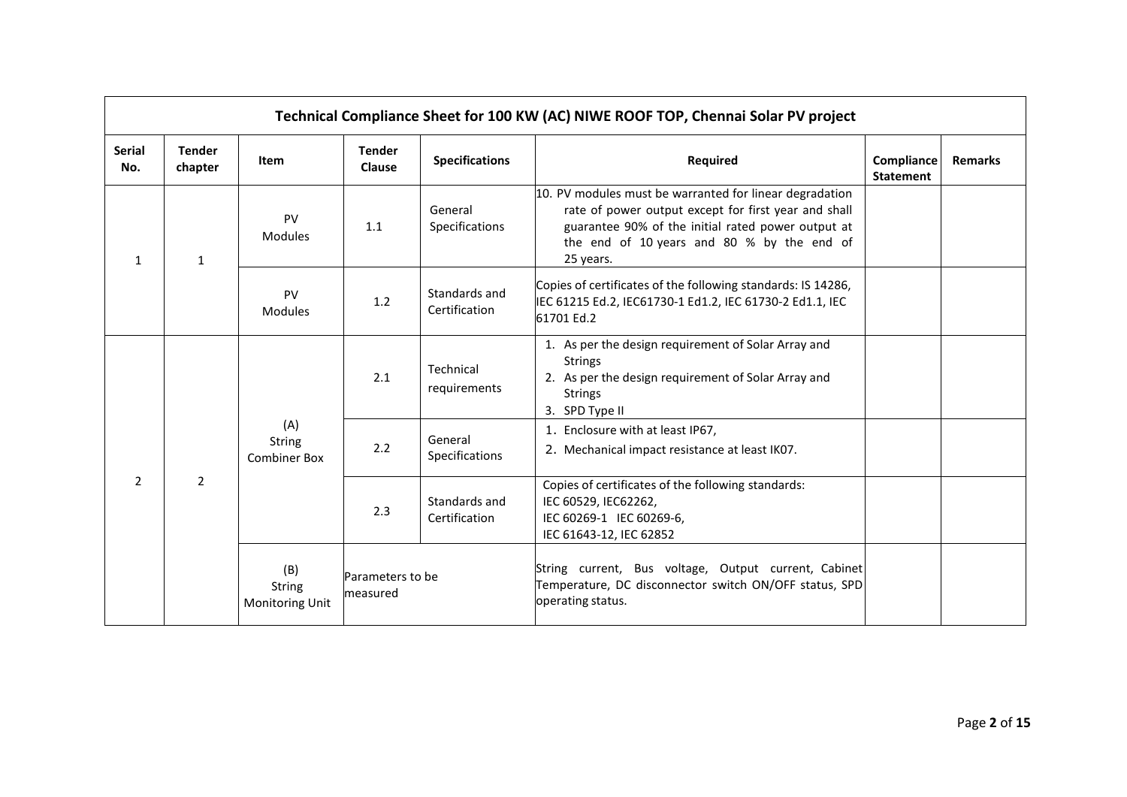|                      |                          |                                                |                                |                                | Technical Compliance Sheet for 100 KW (AC) NIWE ROOF TOP, Chennai Solar PV project                                                                                                                                               |                                |                |
|----------------------|--------------------------|------------------------------------------------|--------------------------------|--------------------------------|----------------------------------------------------------------------------------------------------------------------------------------------------------------------------------------------------------------------------------|--------------------------------|----------------|
| <b>Serial</b><br>No. | <b>Tender</b><br>chapter | <b>Item</b>                                    | <b>Tender</b><br><b>Clause</b> | <b>Specifications</b>          | <b>Required</b>                                                                                                                                                                                                                  | Compliance<br><b>Statement</b> | <b>Remarks</b> |
| $\mathbf{1}$         | $\mathbf{1}$             | PV<br>Modules                                  | 1.1                            | General<br>Specifications      | 10. PV modules must be warranted for linear degradation<br>rate of power output except for first year and shall<br>guarantee 90% of the initial rated power output at<br>the end of 10 years and 80 % by the end of<br>25 years. |                                |                |
|                      |                          | <b>PV</b><br><b>Modules</b>                    | 1.2                            | Standards and<br>Certification | Copies of certificates of the following standards: IS 14286,<br>IEC 61215 Ed.2, IEC61730-1 Ed1.2, IEC 61730-2 Ed1.1, IEC<br>61701 Ed.2                                                                                           |                                |                |
|                      |                          | (A)<br><b>String</b><br><b>Combiner Box</b>    | 2.1                            | Technical<br>requirements      | 1. As per the design requirement of Solar Array and<br><b>Strings</b><br>2. As per the design requirement of Solar Array and<br><b>Strings</b><br>3. SPD Type II                                                                 |                                |                |
|                      |                          |                                                | 2.2                            | General<br>Specifications      | 1. Enclosure with at least IP67,<br>2. Mechanical impact resistance at least IK07.                                                                                                                                               |                                |                |
| 2                    | $\overline{2}$           |                                                | 2.3                            | Standards and<br>Certification | Copies of certificates of the following standards:<br>IEC 60529, IEC62262,<br>IEC 60269-1 IEC 60269-6,<br>IEC 61643-12, IEC 62852                                                                                                |                                |                |
|                      |                          | (B)<br><b>String</b><br><b>Monitoring Unit</b> | Parameters to be<br>measured   |                                | String current, Bus voltage, Output current, Cabinet<br>Temperature, DC disconnector switch ON/OFF status, SPD<br>operating status.                                                                                              |                                |                |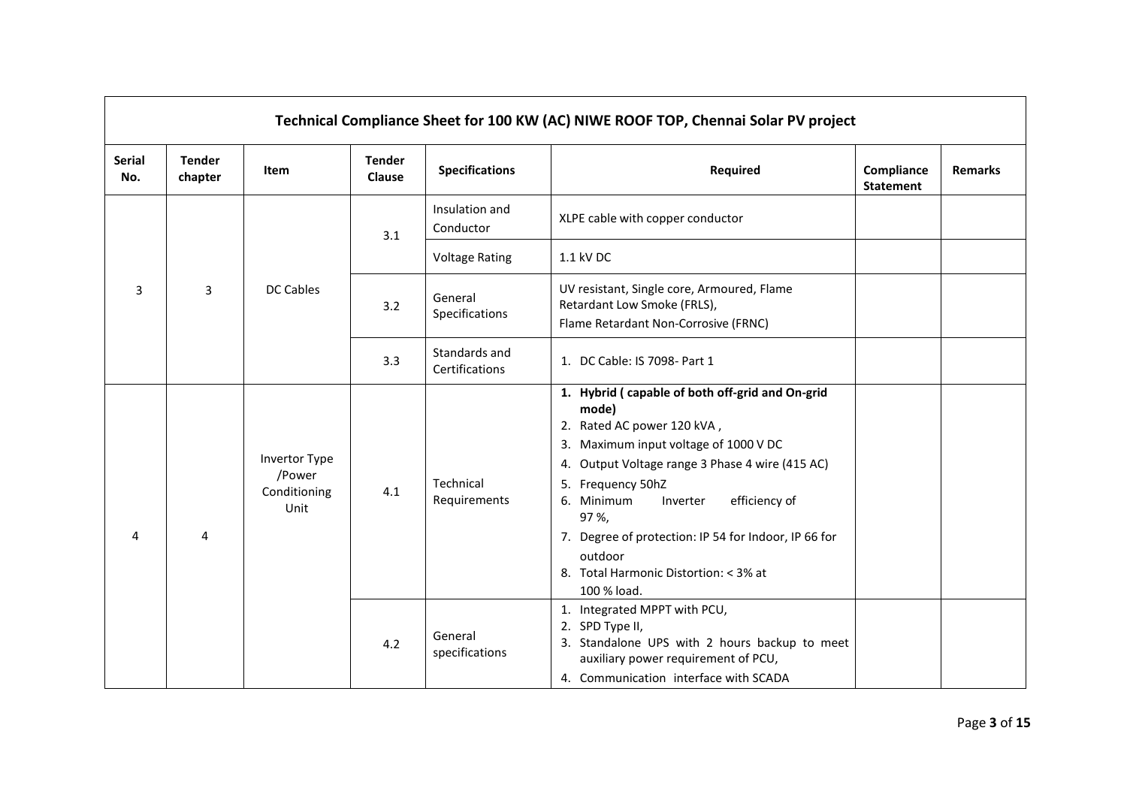|                      |                          |                                                 |                                |                                 | Technical Compliance Sheet for 100 KW (AC) NIWE ROOF TOP, Chennai Solar PV project                                                                                                                                                                                                                                                                                                     |                                |                |
|----------------------|--------------------------|-------------------------------------------------|--------------------------------|---------------------------------|----------------------------------------------------------------------------------------------------------------------------------------------------------------------------------------------------------------------------------------------------------------------------------------------------------------------------------------------------------------------------------------|--------------------------------|----------------|
| <b>Serial</b><br>No. | <b>Tender</b><br>chapter | Item                                            | <b>Tender</b><br><b>Clause</b> | <b>Specifications</b>           | Required                                                                                                                                                                                                                                                                                                                                                                               | Compliance<br><b>Statement</b> | <b>Remarks</b> |
|                      |                          |                                                 | 3.1                            | Insulation and<br>Conductor     | XLPE cable with copper conductor                                                                                                                                                                                                                                                                                                                                                       |                                |                |
|                      |                          |                                                 |                                | <b>Voltage Rating</b>           | 1.1 kV DC                                                                                                                                                                                                                                                                                                                                                                              |                                |                |
| 3                    | 3                        | <b>DC Cables</b>                                | 3.2                            | General<br>Specifications       | UV resistant, Single core, Armoured, Flame<br>Retardant Low Smoke (FRLS),<br>Flame Retardant Non-Corrosive (FRNC)                                                                                                                                                                                                                                                                      |                                |                |
|                      |                          |                                                 | 3.3                            | Standards and<br>Certifications | 1. DC Cable: IS 7098- Part 1                                                                                                                                                                                                                                                                                                                                                           |                                |                |
| 4                    | 4                        | Invertor Type<br>/Power<br>Conditioning<br>Unit | 4.1                            | Technical<br>Requirements       | 1. Hybrid (capable of both off-grid and On-grid<br>mode)<br>2. Rated AC power 120 kVA,<br>3. Maximum input voltage of 1000 V DC<br>4. Output Voltage range 3 Phase 4 wire (415 AC)<br>5. Frequency 50hZ<br>6. Minimum<br>efficiency of<br>Inverter<br>97 %,<br>7. Degree of protection: IP 54 for Indoor, IP 66 for<br>outdoor<br>8. Total Harmonic Distortion: < 3% at<br>100 % load. |                                |                |
|                      |                          |                                                 | 4.2                            | General<br>specifications       | 1. Integrated MPPT with PCU,<br>2. SPD Type II,<br>3. Standalone UPS with 2 hours backup to meet<br>auxiliary power requirement of PCU,<br>4. Communication interface with SCADA                                                                                                                                                                                                       |                                |                |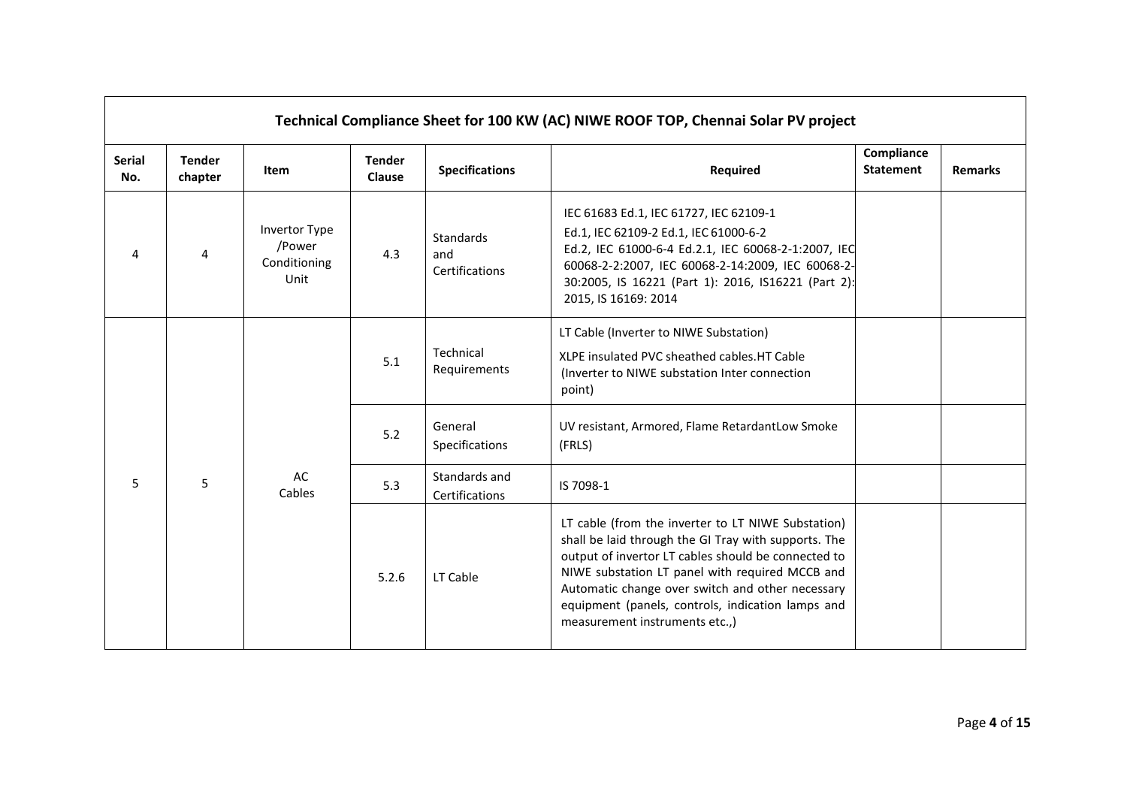|                      |                                                                                          |                                                        |                         |                                    | Technical Compliance Sheet for 100 KW (AC) NIWE ROOF TOP, Chennai Solar PV project                                                                                                                                                                                                                                                                              |                                |                |
|----------------------|------------------------------------------------------------------------------------------|--------------------------------------------------------|-------------------------|------------------------------------|-----------------------------------------------------------------------------------------------------------------------------------------------------------------------------------------------------------------------------------------------------------------------------------------------------------------------------------------------------------------|--------------------------------|----------------|
| <b>Serial</b><br>No. | <b>Tender</b><br>chapter                                                                 | <b>Item</b>                                            | <b>Tender</b><br>Clause | <b>Specifications</b>              | Required                                                                                                                                                                                                                                                                                                                                                        | Compliance<br><b>Statement</b> | <b>Remarks</b> |
| 4                    | 4                                                                                        | <b>Invertor Type</b><br>/Power<br>Conditioning<br>Unit | 4.3                     | Standards<br>and<br>Certifications | IEC 61683 Ed.1, IEC 61727, IEC 62109-1<br>Ed.1, IEC 62109-2 Ed.1, IEC 61000-6-2<br>Ed.2, IEC 61000-6-4 Ed.2.1, IEC 60068-2-1:2007, IEC<br>60068-2-2:2007, IEC 60068-2-14:2009, IEC 60068-2-<br>30:2005, IS 16221 (Part 1): 2016, IS16221 (Part 2):<br>2015, IS 16169: 2014                                                                                      |                                |                |
|                      | Technical<br>5.1<br>Requirements<br>point)<br>General<br>5.2<br>Specifications<br>(FRLS) |                                                        |                         |                                    | LT Cable (Inverter to NIWE Substation)<br>XLPE insulated PVC sheathed cables.HT Cable<br>(Inverter to NIWE substation Inter connection                                                                                                                                                                                                                          |                                |                |
|                      |                                                                                          | UV resistant, Armored, Flame RetardantLow Smoke        |                         |                                    |                                                                                                                                                                                                                                                                                                                                                                 |                                |                |
| 5                    | 5                                                                                        | AC<br>Cables                                           | 5.3                     | Standards and<br>Certifications    | IS 7098-1                                                                                                                                                                                                                                                                                                                                                       |                                |                |
|                      |                                                                                          |                                                        | 5.2.6                   | LT Cable                           | LT cable (from the inverter to LT NIWE Substation)<br>shall be laid through the GI Tray with supports. The<br>output of invertor LT cables should be connected to<br>NIWE substation LT panel with required MCCB and<br>Automatic change over switch and other necessary<br>equipment (panels, controls, indication lamps and<br>measurement instruments etc.,) |                                |                |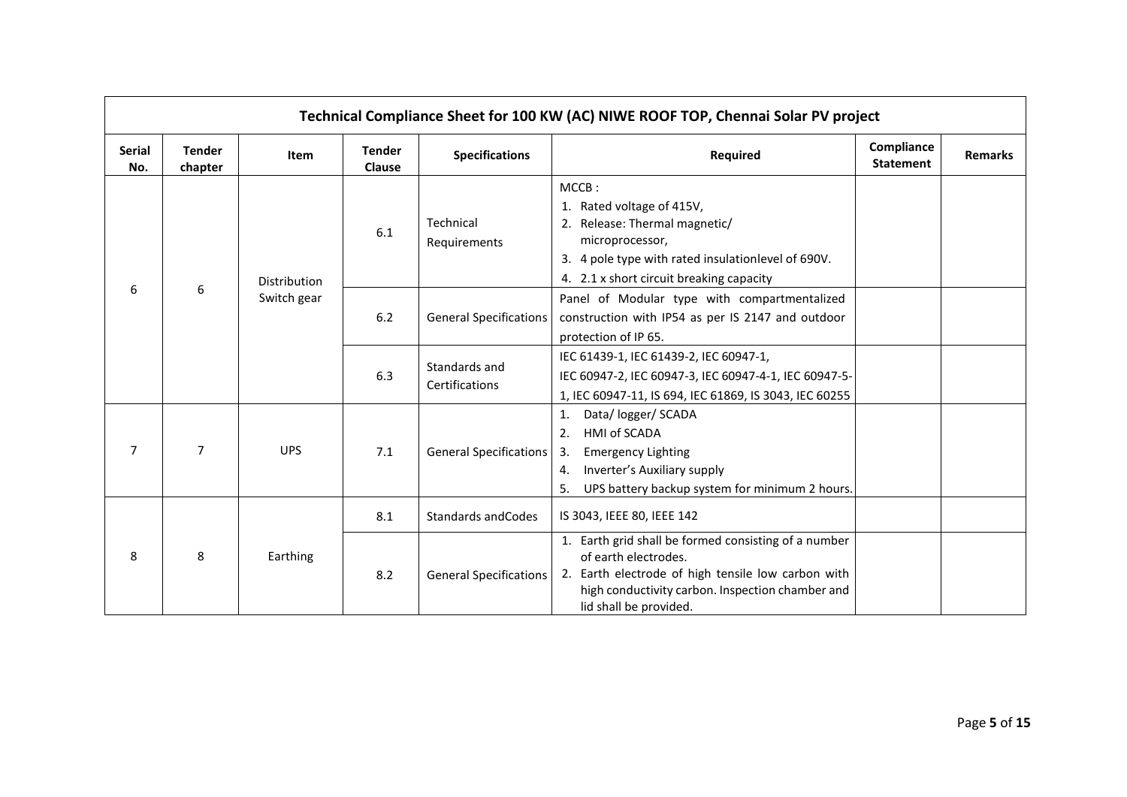|                      |                          |              |                         |                                 | Technical Compliance Sheet for 100 KW (AC) NIWE ROOF TOP, Chennai Solar PV project                                                                                                                               |                                |                |
|----------------------|--------------------------|--------------|-------------------------|---------------------------------|------------------------------------------------------------------------------------------------------------------------------------------------------------------------------------------------------------------|--------------------------------|----------------|
| <b>Serial</b><br>No. | <b>Tender</b><br>chapter | Item         | <b>Tender</b><br>Clause | <b>Specifications</b>           | Required                                                                                                                                                                                                         | Compliance<br><b>Statement</b> | <b>Remarks</b> |
|                      | 6                        | Distribution | 6.1                     | Technical<br>Requirements       | MCCB:<br>1. Rated voltage of 415V,<br>2. Release: Thermal magnetic/<br>microprocessor,<br>3. 4 pole type with rated insulationlevel of 690V.<br>4. 2.1 x short circuit breaking capacity                         |                                |                |
| 6                    |                          | Switch gear  | $6.2$                   | <b>General Specifications</b>   | Panel of Modular type with compartmentalized<br>construction with IP54 as per IS 2147 and outdoor<br>protection of IP 65.                                                                                        |                                |                |
|                      |                          |              | 6.3                     | Standards and<br>Certifications | IEC 61439-1, IEC 61439-2, IEC 60947-1,<br>IEC 60947-2, IEC 60947-3, IEC 60947-4-1, IEC 60947-5-<br>1, IEC 60947-11, IS 694, IEC 61869, IS 3043, IEC 60255                                                        |                                |                |
| $\overline{7}$       | $\overline{7}$           | <b>UPS</b>   | 7.1                     | <b>General Specifications</b>   | Data/ logger/ SCADA<br>1.<br>HMI of SCADA<br>2.<br><b>Emergency Lighting</b><br>3.<br>Inverter's Auxiliary supply<br>4.<br>UPS battery backup system for minimum 2 hours.<br>5.                                  |                                |                |
|                      |                          |              | 8.1                     | Standards and Codes             | IS 3043, IEEE 80, IEEE 142                                                                                                                                                                                       |                                |                |
| 8                    | 8                        | Earthing     | 8.2                     | <b>General Specifications</b>   | 1. Earth grid shall be formed consisting of a number<br>of earth electrodes.<br>2. Earth electrode of high tensile low carbon with<br>high conductivity carbon. Inspection chamber and<br>lid shall be provided. |                                |                |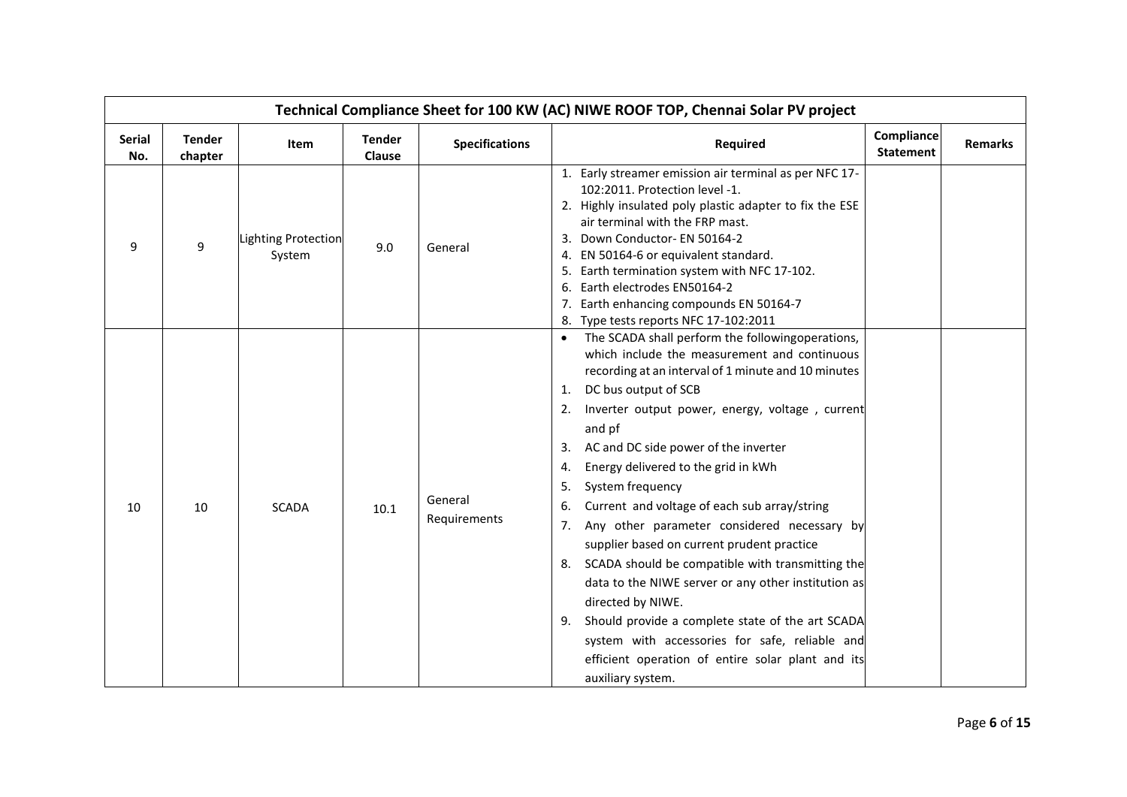|                      |                          |                                      |                         |                         | Technical Compliance Sheet for 100 KW (AC) NIWE ROOF TOP, Chennai Solar PV project                                                                                                                                                                                                                                                                                                                                                                                                                                                                                                                                                                                                                                                                                                                                                                                              |                                |                |
|----------------------|--------------------------|--------------------------------------|-------------------------|-------------------------|---------------------------------------------------------------------------------------------------------------------------------------------------------------------------------------------------------------------------------------------------------------------------------------------------------------------------------------------------------------------------------------------------------------------------------------------------------------------------------------------------------------------------------------------------------------------------------------------------------------------------------------------------------------------------------------------------------------------------------------------------------------------------------------------------------------------------------------------------------------------------------|--------------------------------|----------------|
| <b>Serial</b><br>No. | <b>Tender</b><br>chapter | Item                                 | <b>Tender</b><br>Clause | <b>Specifications</b>   | <b>Required</b>                                                                                                                                                                                                                                                                                                                                                                                                                                                                                                                                                                                                                                                                                                                                                                                                                                                                 | Compliance<br><b>Statement</b> | <b>Remarks</b> |
| 9                    | 9                        | <b>Lighting Protection</b><br>System | 9.0                     | General                 | 1. Early streamer emission air terminal as per NFC 17-<br>102:2011. Protection level -1.<br>2. Highly insulated poly plastic adapter to fix the ESE<br>air terminal with the FRP mast.<br>3. Down Conductor- EN 50164-2<br>EN 50164-6 or equivalent standard.<br>4.<br>Earth termination system with NFC 17-102.<br>5.<br>Earth electrodes EN50164-2<br>6.<br>7. Earth enhancing compounds EN 50164-7<br>Type tests reports NFC 17-102:2011<br>8.                                                                                                                                                                                                                                                                                                                                                                                                                               |                                |                |
| 10                   | 10                       | <b>SCADA</b>                         | 10.1                    | General<br>Requirements | The SCADA shall perform the followingoperations,<br>$\bullet$<br>which include the measurement and continuous<br>recording at an interval of 1 minute and 10 minutes<br>DC bus output of SCB<br>1.<br>Inverter output power, energy, voltage, current<br>2.<br>and pf<br>AC and DC side power of the inverter<br>3.<br>Energy delivered to the grid in kWh<br>4.<br>System frequency<br>5.<br>Current and voltage of each sub array/string<br>6.<br>Any other parameter considered necessary by<br>7.<br>supplier based on current prudent practice<br>SCADA should be compatible with transmitting the<br>8.<br>data to the NIWE server or any other institution as<br>directed by NIWE.<br>Should provide a complete state of the art SCADA<br>9.<br>system with accessories for safe, reliable and<br>efficient operation of entire solar plant and its<br>auxiliary system. |                                |                |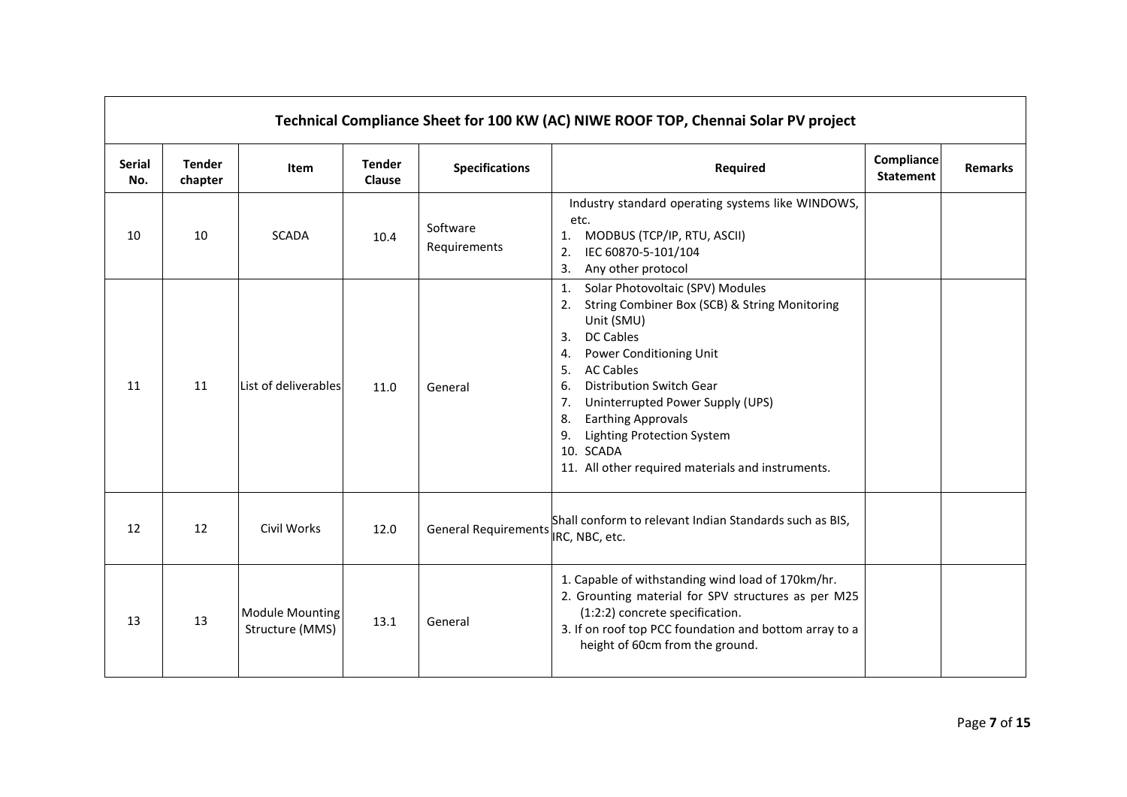|                      |                          |                                           |                                |                             | Technical Compliance Sheet for 100 KW (AC) NIWE ROOF TOP, Chennai Solar PV project                                                                                                                                                                                                                                                                                                                                                  |                                       |                |
|----------------------|--------------------------|-------------------------------------------|--------------------------------|-----------------------------|-------------------------------------------------------------------------------------------------------------------------------------------------------------------------------------------------------------------------------------------------------------------------------------------------------------------------------------------------------------------------------------------------------------------------------------|---------------------------------------|----------------|
| <b>Serial</b><br>No. | <b>Tender</b><br>chapter | Item                                      | <b>Tender</b><br><b>Clause</b> | <b>Specifications</b>       | Required                                                                                                                                                                                                                                                                                                                                                                                                                            | <b>Compliance</b><br><b>Statement</b> | <b>Remarks</b> |
| 10                   | 10                       | <b>SCADA</b>                              | 10.4                           | Software<br>Requirements    | Industry standard operating systems like WINDOWS,<br>etc.<br>MODBUS (TCP/IP, RTU, ASCII)<br>1.<br>IEC 60870-5-101/104<br>2.<br>Any other protocol<br>3.                                                                                                                                                                                                                                                                             |                                       |                |
| 11                   | 11                       | List of deliverables                      | 11.0                           | General                     | Solar Photovoltaic (SPV) Modules<br>1.<br>String Combiner Box (SCB) & String Monitoring<br>2.<br>Unit (SMU)<br><b>DC Cables</b><br>3.<br>Power Conditioning Unit<br>4.<br><b>AC Cables</b><br>5.<br><b>Distribution Switch Gear</b><br>6.<br>Uninterrupted Power Supply (UPS)<br>7.<br><b>Earthing Approvals</b><br>8.<br><b>Lighting Protection System</b><br>9.<br>10. SCADA<br>11. All other required materials and instruments. |                                       |                |
| 12                   | 12                       | Civil Works                               | 12.0                           | <b>General Requirements</b> | Shall conform to relevant Indian Standards such as BIS,<br>IRC, NBC, etc.                                                                                                                                                                                                                                                                                                                                                           |                                       |                |
| 13                   | 13                       | <b>Module Mounting</b><br>Structure (MMS) | 13.1                           | General                     | 1. Capable of withstanding wind load of 170km/hr.<br>2. Grounting material for SPV structures as per M25<br>(1:2:2) concrete specification.<br>3. If on roof top PCC foundation and bottom array to a<br>height of 60cm from the ground.                                                                                                                                                                                            |                                       |                |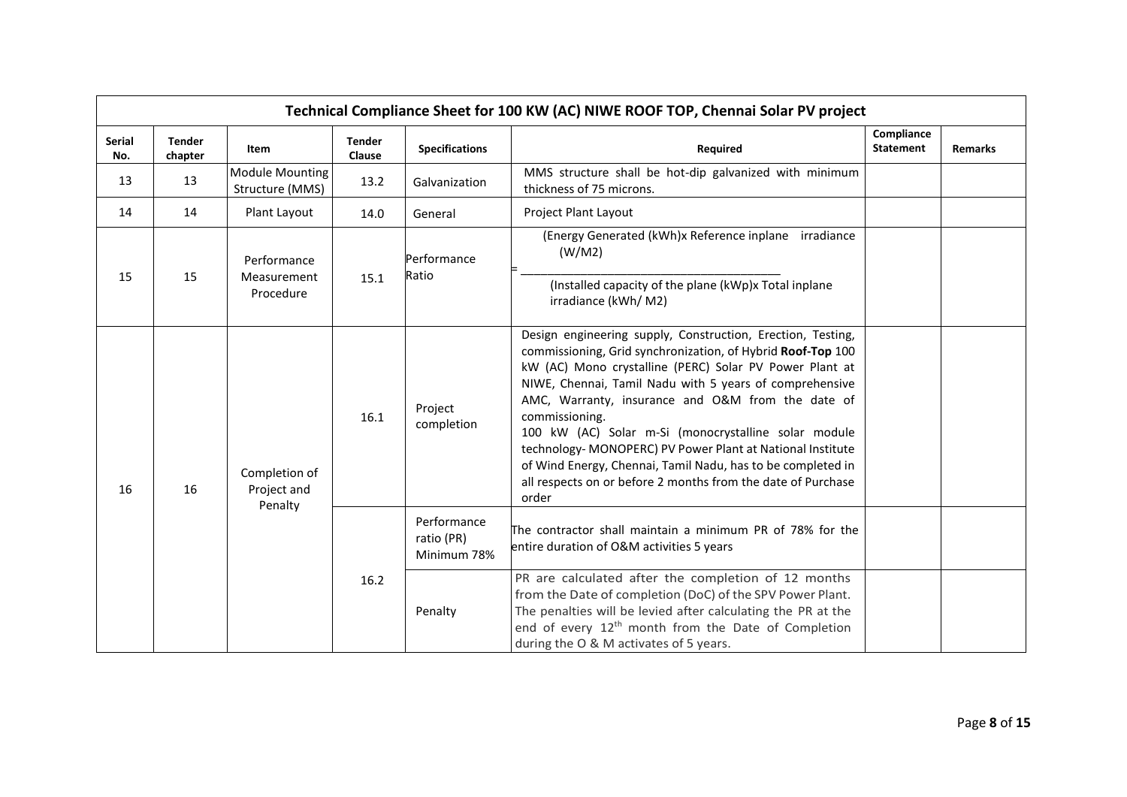|                      |                          |                                           |                         |                                                                 | Technical Compliance Sheet for 100 KW (AC) NIWE ROOF TOP, Chennai Solar PV project                                                                                                                                                                                                                                                                                                                                                                                                                                                                                                    |                                |                |
|----------------------|--------------------------|-------------------------------------------|-------------------------|-----------------------------------------------------------------|---------------------------------------------------------------------------------------------------------------------------------------------------------------------------------------------------------------------------------------------------------------------------------------------------------------------------------------------------------------------------------------------------------------------------------------------------------------------------------------------------------------------------------------------------------------------------------------|--------------------------------|----------------|
| <b>Serial</b><br>No. | <b>Tender</b><br>chapter | Item                                      | <b>Tender</b><br>Clause | <b>Specifications</b>                                           | Required                                                                                                                                                                                                                                                                                                                                                                                                                                                                                                                                                                              | Compliance<br><b>Statement</b> | <b>Remarks</b> |
| 13                   | 13                       | <b>Module Mounting</b><br>Structure (MMS) | 13.2                    | Galvanization                                                   | MMS structure shall be hot-dip galvanized with minimum<br>thickness of 75 microns.                                                                                                                                                                                                                                                                                                                                                                                                                                                                                                    |                                |                |
| 14                   | 14                       | Plant Layout                              | 14.0                    | General                                                         | Project Plant Layout                                                                                                                                                                                                                                                                                                                                                                                                                                                                                                                                                                  |                                |                |
|                      | Performance              |                                           | Performance             | (Energy Generated (kWh)x Reference inplane irradiance<br>(W/M2) |                                                                                                                                                                                                                                                                                                                                                                                                                                                                                                                                                                                       |                                |                |
| 15                   | 15                       | Measurement<br>Procedure                  | 15.1                    | Ratio                                                           | (Installed capacity of the plane (kWp)x Total inplane<br>irradiance (kWh/ M2)                                                                                                                                                                                                                                                                                                                                                                                                                                                                                                         |                                |                |
| 16                   | 16                       | Completion of<br>Project and<br>Penalty   | 16.1                    | Project<br>completion                                           | Design engineering supply, Construction, Erection, Testing,<br>commissioning, Grid synchronization, of Hybrid Roof-Top 100<br>kW (AC) Mono crystalline (PERC) Solar PV Power Plant at<br>NIWE, Chennai, Tamil Nadu with 5 years of comprehensive<br>AMC, Warranty, insurance and O&M from the date of<br>commissioning.<br>100 kW (AC) Solar m-Si (monocrystalline solar module<br>technology- MONOPERC) PV Power Plant at National Institute<br>of Wind Energy, Chennai, Tamil Nadu, has to be completed in<br>all respects on or before 2 months from the date of Purchase<br>order |                                |                |
|                      |                          |                                           |                         | Performance<br>ratio (PR)<br>Minimum 78%                        | The contractor shall maintain a minimum PR of 78% for the<br>entire duration of O&M activities 5 years                                                                                                                                                                                                                                                                                                                                                                                                                                                                                |                                |                |
|                      |                          |                                           | 16.2                    | Penalty                                                         | PR are calculated after the completion of 12 months<br>from the Date of completion (DoC) of the SPV Power Plant.<br>The penalties will be levied after calculating the PR at the<br>end of every 12 <sup>th</sup> month from the Date of Completion<br>during the O & M activates of 5 years.                                                                                                                                                                                                                                                                                         |                                |                |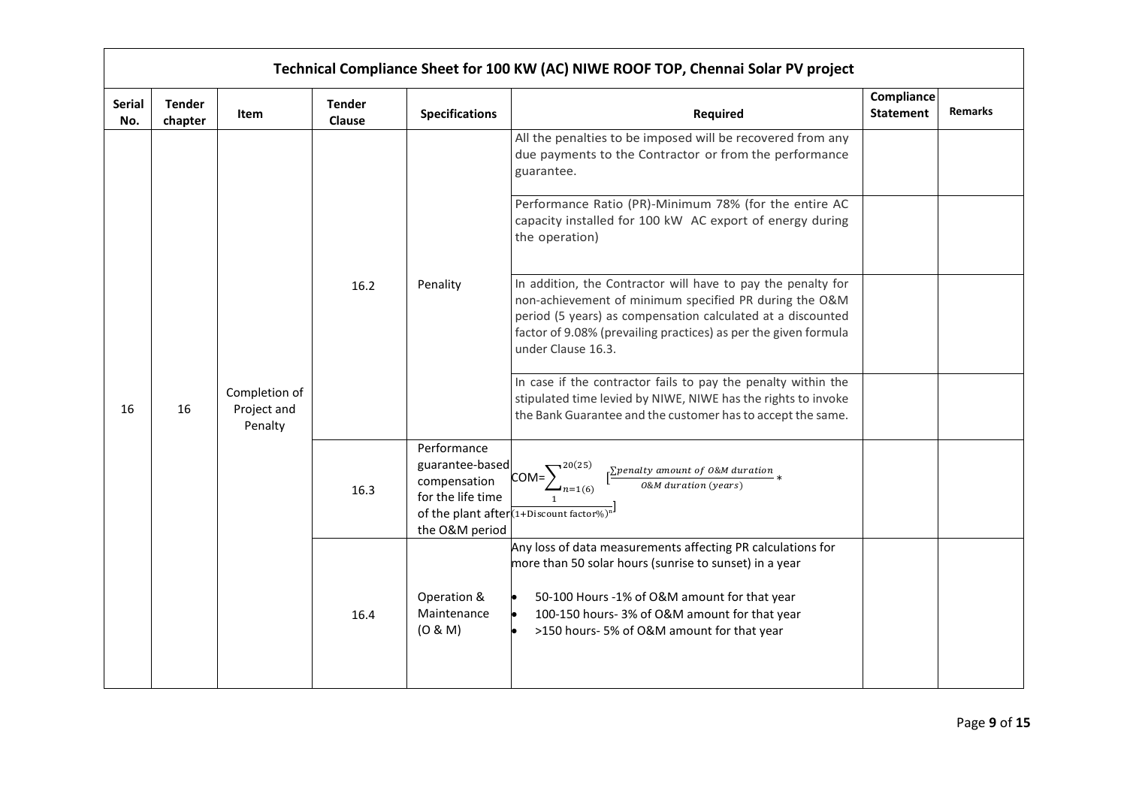|                      |                          |                                         |                         |                                                                                       | Technical Compliance Sheet for 100 KW (AC) NIWE ROOF TOP, Chennai Solar PV project                                                                                                                                                                                             |                                |                |
|----------------------|--------------------------|-----------------------------------------|-------------------------|---------------------------------------------------------------------------------------|--------------------------------------------------------------------------------------------------------------------------------------------------------------------------------------------------------------------------------------------------------------------------------|--------------------------------|----------------|
| <b>Serial</b><br>No. | <b>Tender</b><br>chapter | Item                                    | <b>Tender</b><br>Clause | <b>Specifications</b>                                                                 | Required                                                                                                                                                                                                                                                                       | Compliance<br><b>Statement</b> | <b>Remarks</b> |
|                      |                          |                                         |                         |                                                                                       | All the penalties to be imposed will be recovered from any<br>due payments to the Contractor or from the performance<br>guarantee.                                                                                                                                             |                                |                |
|                      |                          |                                         |                         |                                                                                       | Performance Ratio (PR)-Minimum 78% (for the entire AC<br>capacity installed for 100 kW AC export of energy during<br>the operation)                                                                                                                                            |                                |                |
|                      |                          |                                         | 16.2                    | Penality                                                                              | In addition, the Contractor will have to pay the penalty for<br>non-achievement of minimum specified PR during the O&M<br>period (5 years) as compensation calculated at a discounted<br>factor of 9.08% (prevailing practices) as per the given formula<br>under Clause 16.3. |                                |                |
| 16                   | 16                       | Completion of<br>Project and<br>Penalty |                         |                                                                                       | In case if the contractor fails to pay the penalty within the<br>stipulated time levied by NIWE, NIWE has the rights to invoke<br>the Bank Guarantee and the customer has to accept the same.                                                                                  |                                |                |
|                      |                          |                                         | 16.3                    | Performance<br>guarantee-based<br>compensation<br>for the life time<br>the O&M period | $\sqrt{20(25)}$<br>$\sqrt{\frac{\sum}p$ enalty amount of O&M duration $*$<br>$com\}$<br>$\overline{O\&M}$ duration (years)<br>$-n=1(6)$<br>of the plant after $(1+Discount factor \%)^n$                                                                                       |                                |                |
|                      |                          |                                         | 16.4                    | Operation &<br>Maintenance<br>(O & M)                                                 | Any loss of data measurements affecting PR calculations for<br>more than 50 solar hours (sunrise to sunset) in a year<br>50-100 Hours -1% of O&M amount for that year<br>100-150 hours- 3% of O&M amount for that year<br>>150 hours-5% of O&M amount for that year            |                                |                |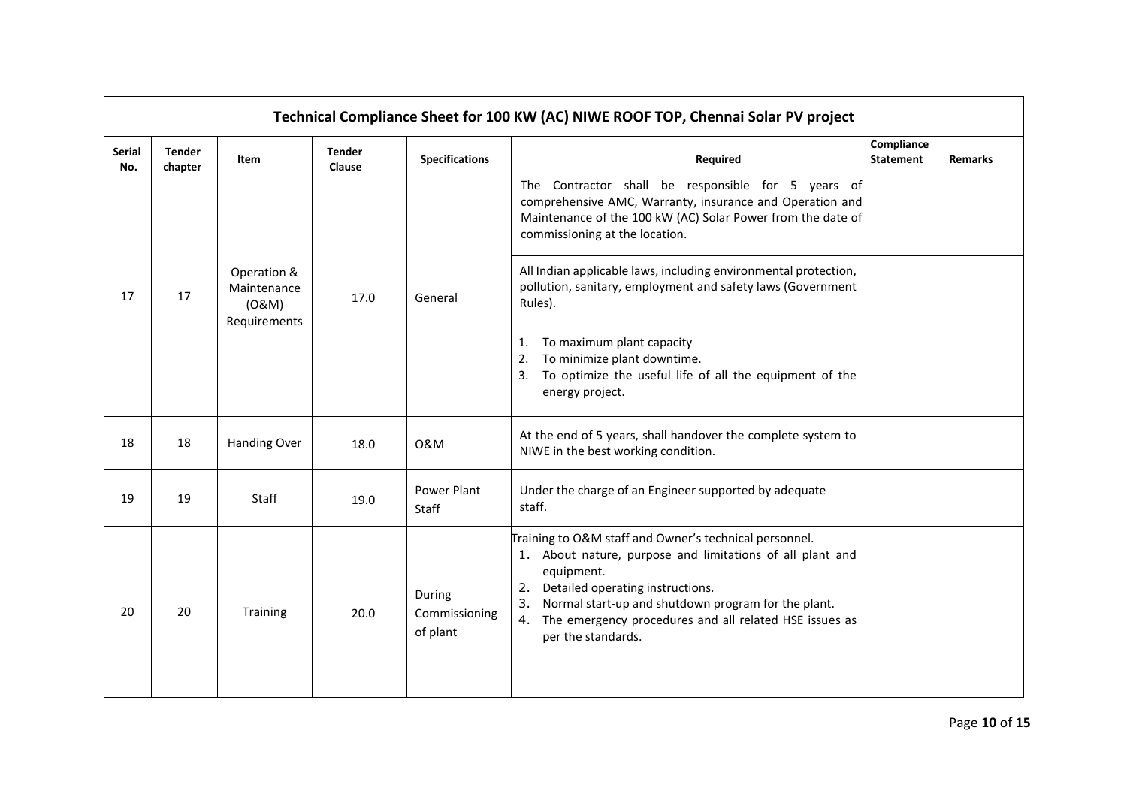|                      |                          |                                                     |                         |                                     | Technical Compliance Sheet for 100 KW (AC) NIWE ROOF TOP, Chennai Solar PV project                                                                                                                                                                                                                                       |                                |                |
|----------------------|--------------------------|-----------------------------------------------------|-------------------------|-------------------------------------|--------------------------------------------------------------------------------------------------------------------------------------------------------------------------------------------------------------------------------------------------------------------------------------------------------------------------|--------------------------------|----------------|
| <b>Serial</b><br>No. | <b>Tender</b><br>chapter | Item                                                | <b>Tender</b><br>Clause | <b>Specifications</b>               | Required                                                                                                                                                                                                                                                                                                                 | Compliance<br><b>Statement</b> | <b>Remarks</b> |
|                      | 17                       |                                                     |                         | General                             | The Contractor shall be responsible for 5 years of<br>comprehensive AMC, Warranty, insurance and Operation and<br>Maintenance of the 100 kW (AC) Solar Power from the date of<br>commissioning at the location.                                                                                                          |                                |                |
| 17                   |                          | Operation &<br>Maintenance<br>(0&M)<br>Requirements | 17.0                    |                                     | All Indian applicable laws, including environmental protection,<br>pollution, sanitary, employment and safety laws (Government<br>Rules).                                                                                                                                                                                |                                |                |
|                      |                          |                                                     |                         |                                     | 1. To maximum plant capacity<br>To minimize plant downtime.<br>2.<br>To optimize the useful life of all the equipment of the<br>3.<br>energy project.                                                                                                                                                                    |                                |                |
| 18                   | 18                       | <b>Handing Over</b>                                 | 18.0                    | 0&M                                 | At the end of 5 years, shall handover the complete system to<br>NIWE in the best working condition.                                                                                                                                                                                                                      |                                |                |
| 19                   | 19                       | Staff                                               | 19.0                    | Power Plant<br>Staff                | Under the charge of an Engineer supported by adequate<br>staff.                                                                                                                                                                                                                                                          |                                |                |
| 20                   | 20                       | Training                                            | 20.0                    | During<br>Commissioning<br>of plant | Training to O&M staff and Owner's technical personnel.<br>1. About nature, purpose and limitations of all plant and<br>equipment.<br>2. Detailed operating instructions.<br>Normal start-up and shutdown program for the plant.<br>3.<br>4. The emergency procedures and all related HSE issues as<br>per the standards. |                                |                |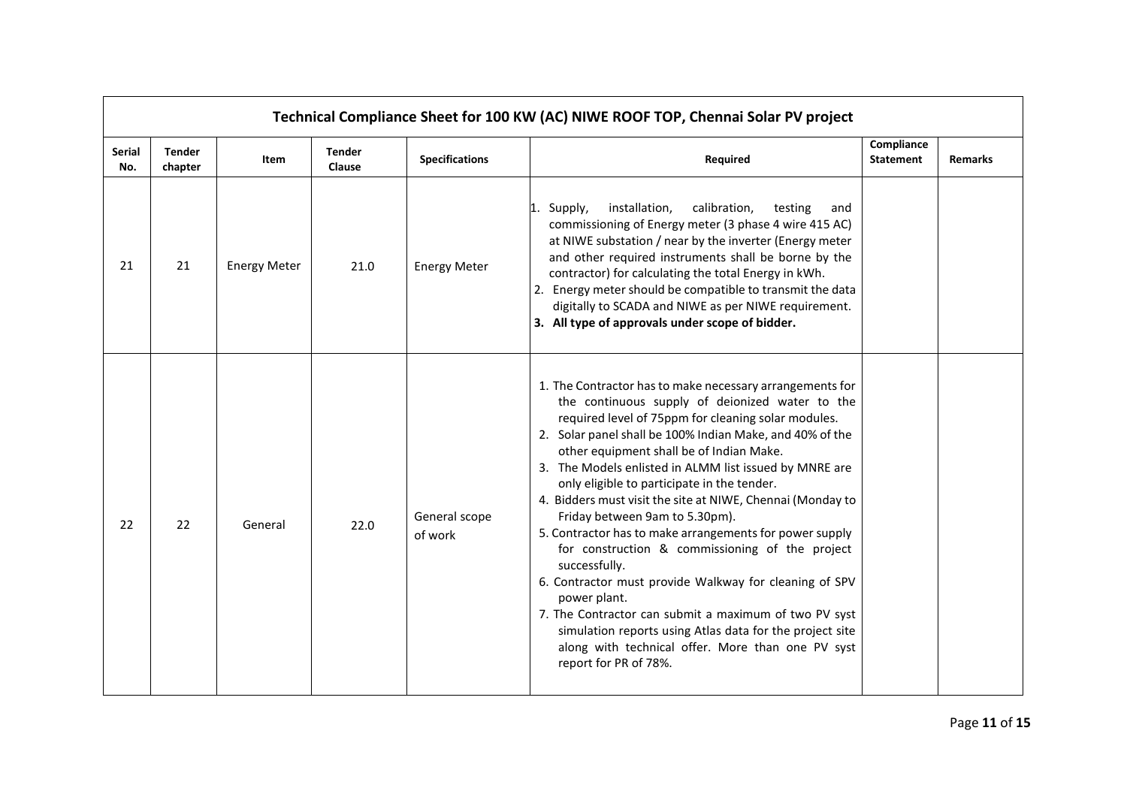|                      |                          |                     |                         |                          | Technical Compliance Sheet for 100 KW (AC) NIWE ROOF TOP, Chennai Solar PV project                                                                                                                                                                                                                                                                                                                                                                                                                                                                                                                                                                                                                                                                                                                                                                                                              |                                |                |
|----------------------|--------------------------|---------------------|-------------------------|--------------------------|-------------------------------------------------------------------------------------------------------------------------------------------------------------------------------------------------------------------------------------------------------------------------------------------------------------------------------------------------------------------------------------------------------------------------------------------------------------------------------------------------------------------------------------------------------------------------------------------------------------------------------------------------------------------------------------------------------------------------------------------------------------------------------------------------------------------------------------------------------------------------------------------------|--------------------------------|----------------|
| <b>Serial</b><br>No. | <b>Tender</b><br>chapter | Item                | <b>Tender</b><br>Clause | <b>Specifications</b>    | Required                                                                                                                                                                                                                                                                                                                                                                                                                                                                                                                                                                                                                                                                                                                                                                                                                                                                                        | Compliance<br><b>Statement</b> | <b>Remarks</b> |
| 21                   | 21                       | <b>Energy Meter</b> | 21.0                    | <b>Energy Meter</b>      | installation,<br>calibration,<br>Supply,<br>testing<br>and<br>commissioning of Energy meter (3 phase 4 wire 415 AC)<br>at NIWE substation / near by the inverter (Energy meter<br>and other required instruments shall be borne by the<br>contractor) for calculating the total Energy in kWh.<br>2. Energy meter should be compatible to transmit the data<br>digitally to SCADA and NIWE as per NIWE requirement.<br>3. All type of approvals under scope of bidder.                                                                                                                                                                                                                                                                                                                                                                                                                          |                                |                |
| 22                   | 22                       | General             | 22.0                    | General scope<br>of work | 1. The Contractor has to make necessary arrangements for<br>the continuous supply of deionized water to the<br>required level of 75ppm for cleaning solar modules.<br>2. Solar panel shall be 100% Indian Make, and 40% of the<br>other equipment shall be of Indian Make.<br>3. The Models enlisted in ALMM list issued by MNRE are<br>only eligible to participate in the tender.<br>4. Bidders must visit the site at NIWE, Chennai (Monday to<br>Friday between 9am to 5.30pm).<br>5. Contractor has to make arrangements for power supply<br>for construction & commissioning of the project<br>successfully.<br>6. Contractor must provide Walkway for cleaning of SPV<br>power plant.<br>7. The Contractor can submit a maximum of two PV syst<br>simulation reports using Atlas data for the project site<br>along with technical offer. More than one PV syst<br>report for PR of 78%. |                                |                |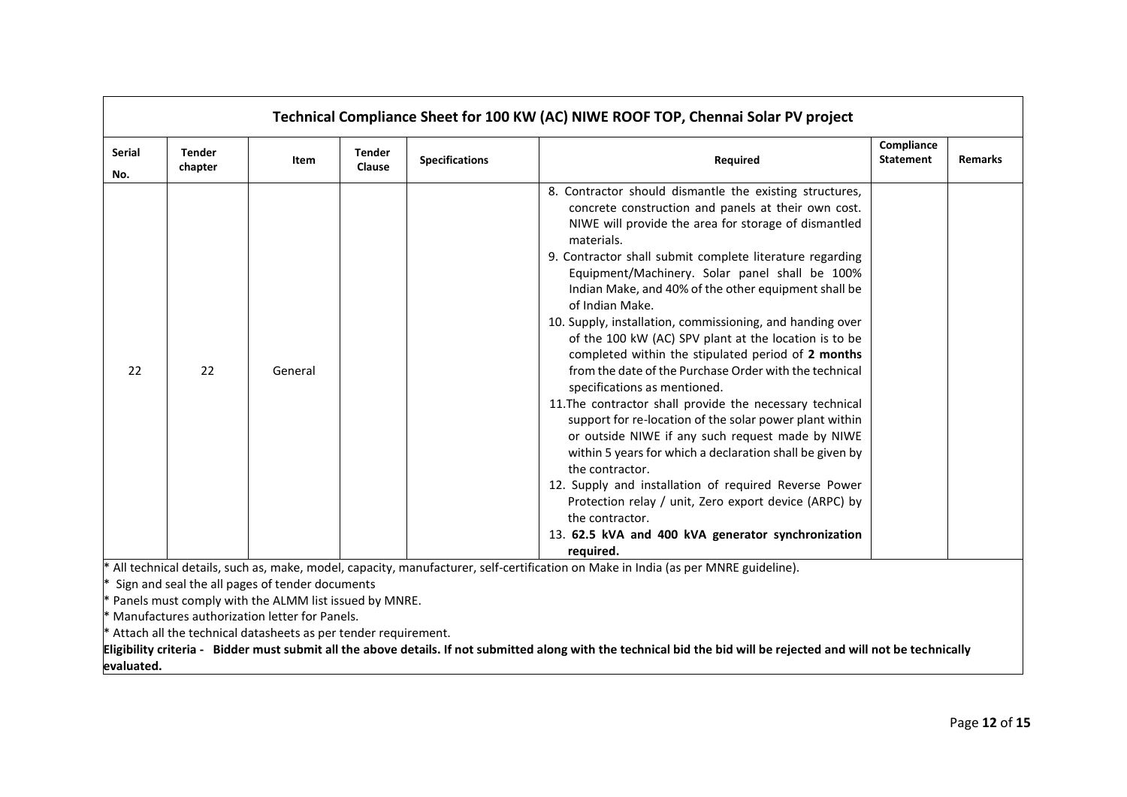| <b>Serial</b><br>No. | Tender<br>chapter | Item                                                                                                                                                                                                                                  | <b>Tender</b><br>Clause | <b>Specifications</b> | Required                                                                                                                                                                                                                                                                                                                                                                                                                                                                                                                                                                                                                                                                                                                                                                                                                                                                                                                                                                                                                                                                                                              | Compliance<br><b>Statement</b> | <b>Remarks</b> |
|----------------------|-------------------|---------------------------------------------------------------------------------------------------------------------------------------------------------------------------------------------------------------------------------------|-------------------------|-----------------------|-----------------------------------------------------------------------------------------------------------------------------------------------------------------------------------------------------------------------------------------------------------------------------------------------------------------------------------------------------------------------------------------------------------------------------------------------------------------------------------------------------------------------------------------------------------------------------------------------------------------------------------------------------------------------------------------------------------------------------------------------------------------------------------------------------------------------------------------------------------------------------------------------------------------------------------------------------------------------------------------------------------------------------------------------------------------------------------------------------------------------|--------------------------------|----------------|
| 22                   | 22                | General                                                                                                                                                                                                                               |                         |                       | 8. Contractor should dismantle the existing structures,<br>concrete construction and panels at their own cost.<br>NIWE will provide the area for storage of dismantled<br>materials.<br>9. Contractor shall submit complete literature regarding<br>Equipment/Machinery. Solar panel shall be 100%<br>Indian Make, and 40% of the other equipment shall be<br>of Indian Make.<br>10. Supply, installation, commissioning, and handing over<br>of the 100 kW (AC) SPV plant at the location is to be<br>completed within the stipulated period of 2 months<br>from the date of the Purchase Order with the technical<br>specifications as mentioned.<br>11. The contractor shall provide the necessary technical<br>support for re-location of the solar power plant within<br>or outside NIWE if any such request made by NIWE<br>within 5 years for which a declaration shall be given by<br>the contractor.<br>12. Supply and installation of required Reverse Power<br>Protection relay / unit, Zero export device (ARPC) by<br>the contractor.<br>13. 62.5 kVA and 400 kVA generator synchronization<br>required. |                                |                |
| evaluated.           |                   | Sign and seal the all pages of tender documents<br>$*$ Panels must comply with the ALMM list issued by MNRE.<br>* Manufactures authorization letter for Panels.<br>$*$ Attach all the technical datasheets as per tender requirement. |                         |                       | * All technical details, such as, make, model, capacity, manufacturer, self-certification on Make in India (as per MNRE guideline).<br>Eligibility criteria - Bidder must submit all the above details. If not submitted along with the technical bid the bid will be rejected and will not be technically                                                                                                                                                                                                                                                                                                                                                                                                                                                                                                                                                                                                                                                                                                                                                                                                            |                                |                |

 $\mathbf{r}$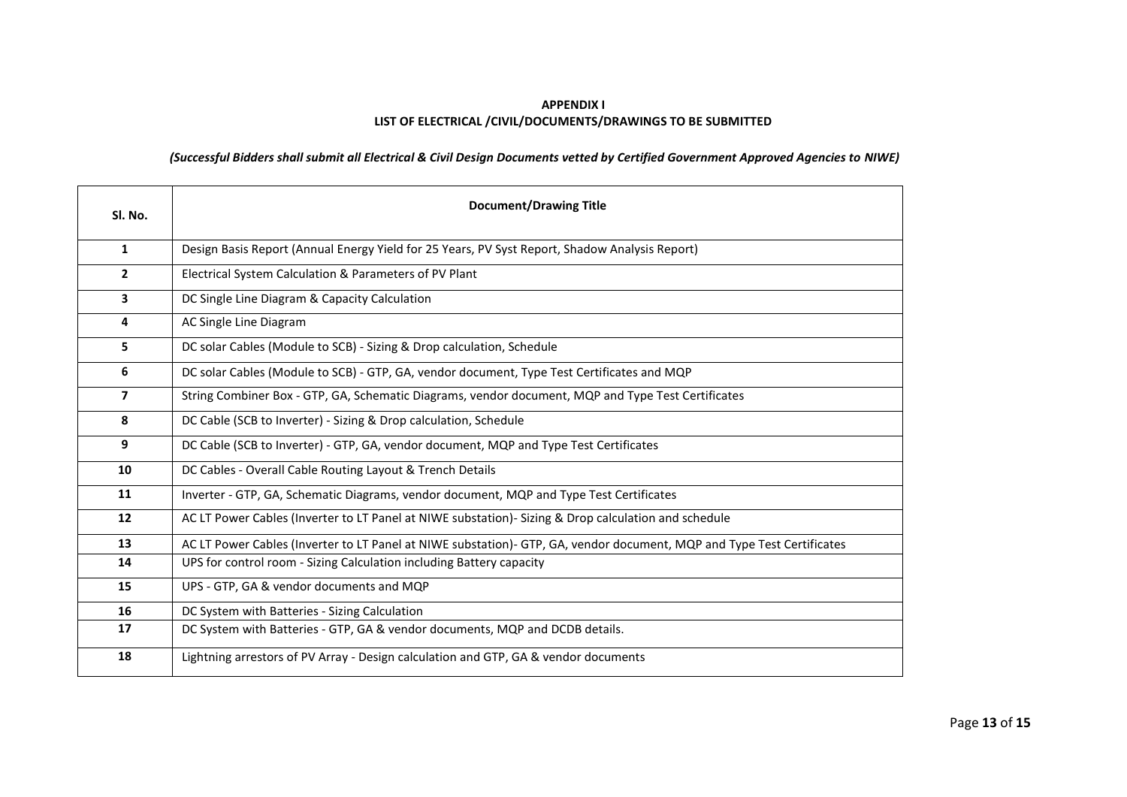## **APPENDIX I LIST OF ELECTRICAL /CIVIL/DOCUMENTS/DRAWINGS TO BE SUBMITTED**

## *(Successful Bidders shall submit all Electrical & Civil Design Documents vetted by Certified Government Approved Agencies to NIWE)*

| Sl. No.                 | <b>Document/Drawing Title</b>                                                                                          |  |  |  |
|-------------------------|------------------------------------------------------------------------------------------------------------------------|--|--|--|
| 1                       | Design Basis Report (Annual Energy Yield for 25 Years, PV Syst Report, Shadow Analysis Report)                         |  |  |  |
| $\overline{2}$          | Electrical System Calculation & Parameters of PV Plant                                                                 |  |  |  |
| 3                       | DC Single Line Diagram & Capacity Calculation                                                                          |  |  |  |
| $\overline{\mathbf{4}}$ | AC Single Line Diagram                                                                                                 |  |  |  |
| 5                       | DC solar Cables (Module to SCB) - Sizing & Drop calculation, Schedule                                                  |  |  |  |
| 6                       | DC solar Cables (Module to SCB) - GTP, GA, vendor document, Type Test Certificates and MQP                             |  |  |  |
| $\overline{7}$          | String Combiner Box - GTP, GA, Schematic Diagrams, vendor document, MQP and Type Test Certificates                     |  |  |  |
| 8                       | DC Cable (SCB to Inverter) - Sizing & Drop calculation, Schedule                                                       |  |  |  |
| 9                       | DC Cable (SCB to Inverter) - GTP, GA, vendor document, MQP and Type Test Certificates                                  |  |  |  |
| 10                      | DC Cables - Overall Cable Routing Layout & Trench Details                                                              |  |  |  |
| 11                      | Inverter - GTP, GA, Schematic Diagrams, vendor document, MQP and Type Test Certificates                                |  |  |  |
| 12                      | AC LT Power Cables (Inverter to LT Panel at NIWE substation)- Sizing & Drop calculation and schedule                   |  |  |  |
| 13                      | AC LT Power Cables (Inverter to LT Panel at NIWE substation)- GTP, GA, vendor document, MQP and Type Test Certificates |  |  |  |
| 14                      | UPS for control room - Sizing Calculation including Battery capacity                                                   |  |  |  |
| 15                      | UPS - GTP, GA & vendor documents and MQP                                                                               |  |  |  |
| 16                      | DC System with Batteries - Sizing Calculation                                                                          |  |  |  |
| 17                      | DC System with Batteries - GTP, GA & vendor documents, MQP and DCDB details.                                           |  |  |  |
| 18                      | Lightning arrestors of PV Array - Design calculation and GTP, GA & vendor documents                                    |  |  |  |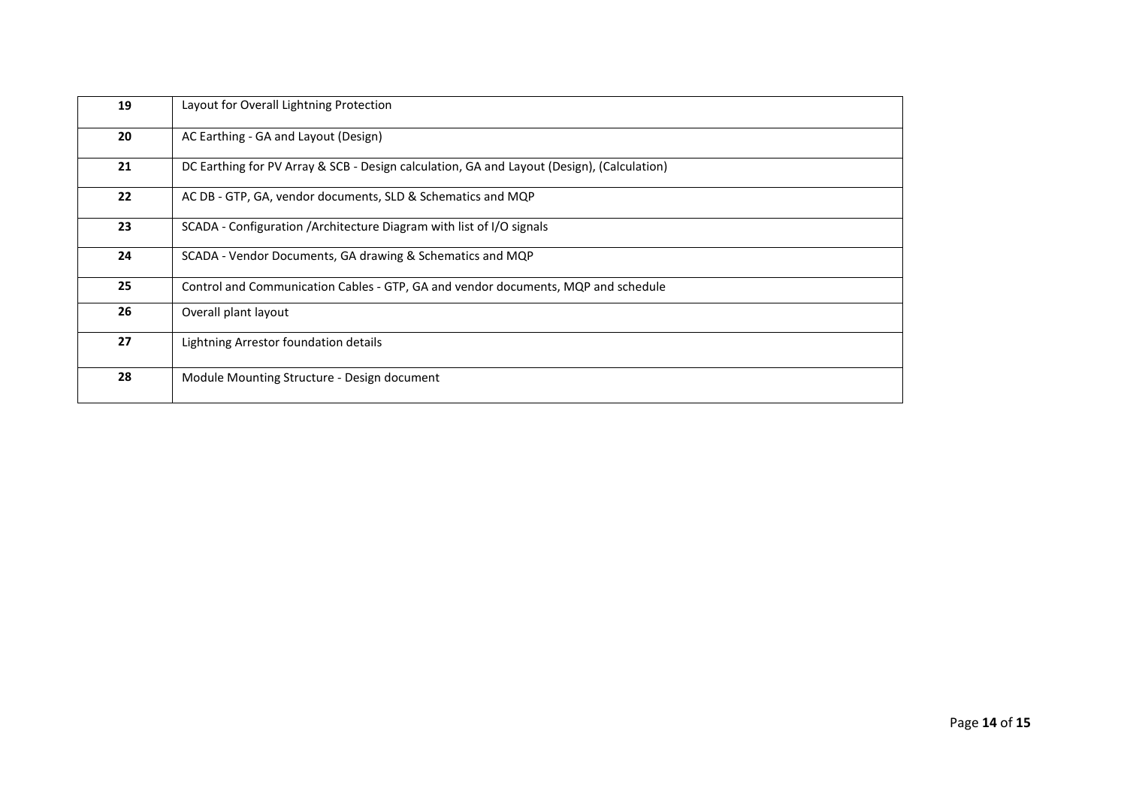|    | 19 | Layout for Overall Lightning Protection                                                    |  |  |
|----|----|--------------------------------------------------------------------------------------------|--|--|
|    | 20 | AC Earthing - GA and Layout (Design)                                                       |  |  |
|    | 21 | DC Earthing for PV Array & SCB - Design calculation, GA and Layout (Design), (Calculation) |  |  |
|    | 22 | AC DB - GTP, GA, vendor documents, SLD & Schematics and MQP                                |  |  |
|    | 23 | SCADA - Configuration / Architecture Diagram with list of I/O signals                      |  |  |
|    | 24 | SCADA - Vendor Documents, GA drawing & Schematics and MQP                                  |  |  |
|    | 25 | Control and Communication Cables - GTP, GA and vendor documents, MQP and schedule          |  |  |
| 26 |    | Overall plant layout                                                                       |  |  |
|    | 27 | Lightning Arrestor foundation details                                                      |  |  |
|    | 28 | Module Mounting Structure - Design document                                                |  |  |
|    |    |                                                                                            |  |  |